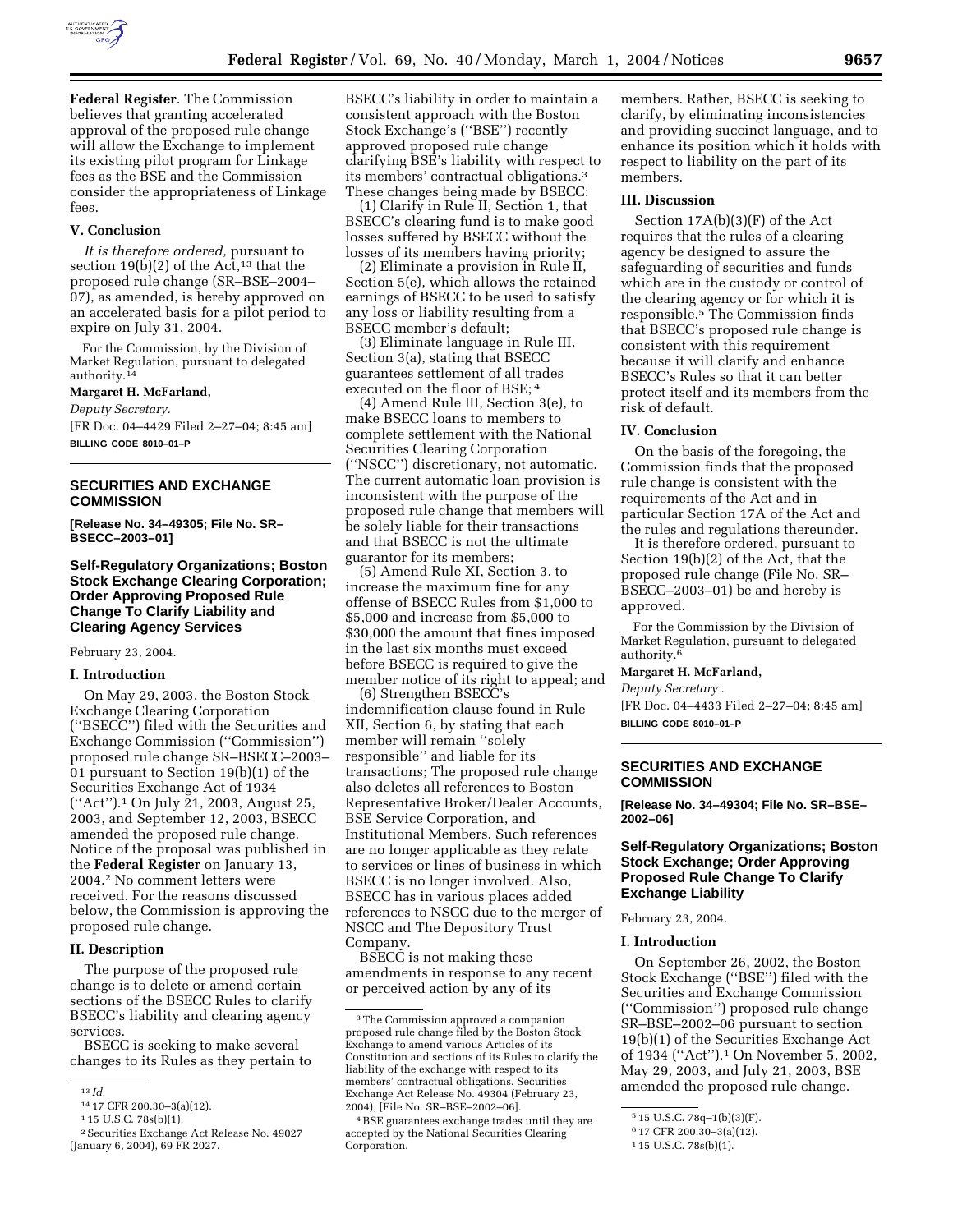

**Federal Register**. The Commission believes that granting accelerated approval of the proposed rule change will allow the Exchange to implement its existing pilot program for Linkage fees as the BSE and the Commission consider the appropriateness of Linkage fees.

### **V. Conclusion**

*It is therefore ordered,* pursuant to section 19(b)(2) of the Act,<sup>13</sup> that the proposed rule change (SR–BSE–2004– 07), as amended, is hereby approved on an accelerated basis for a pilot period to expire on July 31, 2004.

For the Commission, by the Division of Market Regulation, pursuant to delegated authority.14

### **Margaret H. McFarland,**

*Deputy Secretary.*

[FR Doc. 04–4429 Filed 2–27–04; 8:45 am] **BILLING CODE 8010–01–P**

# **SECURITIES AND EXCHANGE COMMISSION**

**[Release No. 34–49305; File No. SR– BSECC–2003–01]** 

## **Self-Regulatory Organizations; Boston Stock Exchange Clearing Corporation; Order Approving Proposed Rule Change To Clarify Liability and Clearing Agency Services**

February 23, 2004.

### **I. Introduction**

On May 29, 2003, the Boston Stock Exchange Clearing Corporation (''BSECC'') filed with the Securities and Exchange Commission (''Commission'') proposed rule change SR–BSECC–2003– 01 pursuant to Section 19(b)(1) of the Securities Exchange Act of 1934 (''Act'').1 On July 21, 2003, August 25, 2003, and September 12, 2003, BSECC amended the proposed rule change. Notice of the proposal was published in the **Federal Register** on January 13, 2004.2 No comment letters were received. For the reasons discussed below, the Commission is approving the proposed rule change.

#### **II. Description**

The purpose of the proposed rule change is to delete or amend certain sections of the BSECC Rules to clarify BSECC's liability and clearing agency services.

BSECC is seeking to make several changes to its Rules as they pertain to

BSECC's liability in order to maintain a consistent approach with the Boston Stock Exchange's (''BSE'') recently approved proposed rule change clarifying BSE's liability with respect to its members' contractual obligations.3 These changes being made by BSECC:

(1) Clarify in Rule II, Section 1, that BSECC's clearing fund is to make good losses suffered by BSECC without the losses of its members having priority;

(2) Eliminate a provision in Rule II, Section 5(e), which allows the retained earnings of BSECC to be used to satisfy any loss or liability resulting from a BSECC member's default;

(3) Eliminate language in Rule III, Section 3(a), stating that BSECC guarantees settlement of all trades executed on the floor of BSE; 4

(4) Amend Rule III, Section 3(e), to make BSECC loans to members to complete settlement with the National Securities Clearing Corporation (''NSCC'') discretionary, not automatic. The current automatic loan provision is inconsistent with the purpose of the proposed rule change that members will be solely liable for their transactions and that BSECC is not the ultimate guarantor for its members;

(5) Amend Rule XI, Section 3, to increase the maximum fine for any offense of BSECC Rules from \$1,000 to \$5,000 and increase from \$5,000 to \$30,000 the amount that fines imposed in the last six months must exceed before BSECC is required to give the member notice of its right to appeal; and

(6) Strengthen BSECC's indemnification clause found in Rule XII, Section 6, by stating that each member will remain ''solely responsible'' and liable for its transactions; The proposed rule change also deletes all references to Boston Representative Broker/Dealer Accounts, BSE Service Corporation, and Institutional Members. Such references are no longer applicable as they relate to services or lines of business in which BSECC is no longer involved. Also, BSECC has in various places added references to NSCC due to the merger of NSCC and The Depository Trust Company.

BSECC is not making these amendments in response to any recent or perceived action by any of its

members. Rather, BSECC is seeking to clarify, by eliminating inconsistencies and providing succinct language, and to enhance its position which it holds with respect to liability on the part of its members.

## **III. Discussion**

Section 17A(b)(3)(F) of the Act requires that the rules of a clearing agency be designed to assure the safeguarding of securities and funds which are in the custody or control of the clearing agency or for which it is responsible.5 The Commission finds that BSECC's proposed rule change is consistent with this requirement because it will clarify and enhance BSECC's Rules so that it can better protect itself and its members from the risk of default.

### **IV. Conclusion**

On the basis of the foregoing, the Commission finds that the proposed rule change is consistent with the requirements of the Act and in particular Section 17A of the Act and the rules and regulations thereunder.

It is therefore ordered, pursuant to Section 19(b)(2) of the Act, that the proposed rule change (File No. SR– BSECC–2003–01) be and hereby is approved.

For the Commission by the Division of Market Regulation, pursuant to delegated authority.<sup>6</sup>

**Margaret H. McFarland,** 

#### *Deputy Secretary .*

[FR Doc. 04–4433 Filed 2–27–04; 8:45 am] **BILLING CODE 8010–01–P**

### **SECURITIES AND EXCHANGE COMMISSION**

**[Release No. 34–49304; File No. SR–BSE– 2002–06]** 

## **Self-Regulatory Organizations; Boston Stock Exchange; Order Approving Proposed Rule Change To Clarify Exchange Liability**

February 23, 2004.

#### **I. Introduction**

On September 26, 2002, the Boston Stock Exchange (''BSE'') filed with the Securities and Exchange Commission (''Commission'') proposed rule change SR–BSE–2002–06 pursuant to section 19(b)(1) of the Securities Exchange Act of 1934 (''Act'').1 On November 5, 2002, May 29, 2003, and July 21, 2003, BSE amended the proposed rule change.

<sup>13</sup> *Id.*

<sup>14</sup> 17 CFR 200.30–3(a)(12).

<sup>1</sup> 15 U.S.C. 78s(b)(1).

<sup>2</sup>Securities Exchange Act Release No. 49027 (January 6, 2004), 69 FR 2027.

<sup>3</sup>The Commission approved a companion proposed rule change filed by the Boston Stock Exchange to amend various Articles of its Constitution and sections of its Rules to clarify the liability of the exchange with respect to its members' contractual obligations. Securities Exchange Act Release No. 49304 (February 23, 2004), [File No. SR–BSE–2002–06].

<sup>4</sup>BSE guarantees exchange trades until they are accepted by the National Securities Clearing Corporation.

<sup>5</sup> 15 U.S.C. 78q–1(b)(3)(F).

<sup>6</sup> 17 CFR 200.30–3(a)(12).

<sup>1</sup> 15 U.S.C. 78s(b)(1).